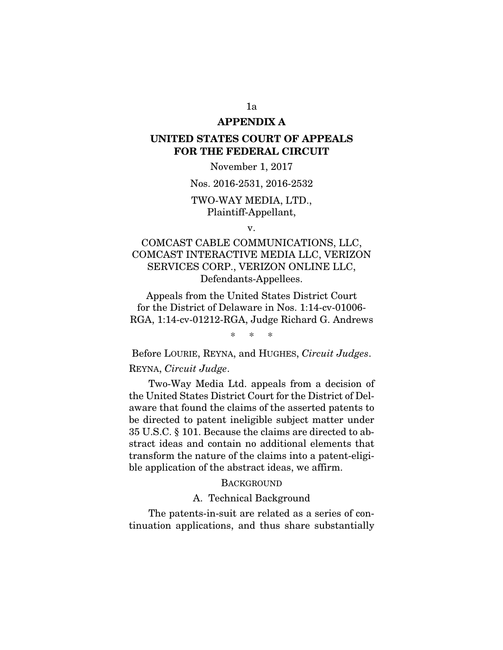### APPENDIX A

# UNITED STATES COURT OF APPEALS FOR THE FEDERAL CIRCUIT

### November 1, 2017

#### Nos. 2016-2531, 2016-2532

# TWO-WAY MEDIA, LTD., Plaintiff-Appellant,

v.

# COMCAST CABLE COMMUNICATIONS, LLC, COMCAST INTERACTIVE MEDIA LLC, VERIZON SERVICES CORP., VERIZON ONLINE LLC, Defendants-Appellees.

Appeals from the United States District Court for the District of Delaware in Nos. 1:14-cv-01006- RGA, 1:14-cv-01212-RGA, Judge Richard G. Andrews

\* \* \*

Before LOURIE, REYNA, and HUGHES, *Circuit Judges*. REYNA, *Circuit Judge*.

Two-Way Media Ltd. appeals from a decision of the United States District Court for the District of Delaware that found the claims of the asserted patents to be directed to patent ineligible subject matter under 35 U.S.C. § 101. Because the claims are directed to abstract ideas and contain no additional elements that transform the nature of the claims into a patent-eligible application of the abstract ideas, we affirm.

### **BACKGROUND**

#### A. Technical Background

The patents-in-suit are related as a series of continuation applications, and thus share substantially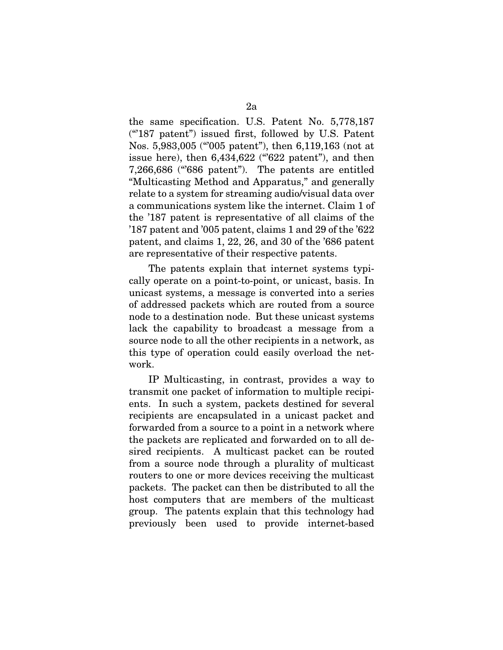the same specification. U.S. Patent No. 5,778,187 ("'187 patent") issued first, followed by U.S. Patent Nos. 5,983,005 ("'005 patent"), then 6,119,163 (not at issue here), then  $6,434,622$  (" $622$  patent"), and then 7,266,686 ("'686 patent"). The patents are entitled "Multicasting Method and Apparatus," and generally relate to a system for streaming audio/visual data over a communications system like the internet. Claim 1 of the '187 patent is representative of all claims of the '187 patent and '005 patent, claims 1 and 29 of the '622 patent, and claims 1, 22, 26, and 30 of the '686 patent are representative of their respective patents.

The patents explain that internet systems typically operate on a point-to-point, or unicast, basis. In unicast systems, a message is converted into a series of addressed packets which are routed from a source node to a destination node. But these unicast systems lack the capability to broadcast a message from a source node to all the other recipients in a network, as this type of operation could easily overload the network.

IP Multicasting, in contrast, provides a way to transmit one packet of information to multiple recipients. In such a system, packets destined for several recipients are encapsulated in a unicast packet and forwarded from a source to a point in a network where the packets are replicated and forwarded on to all desired recipients. A multicast packet can be routed from a source node through a plurality of multicast routers to one or more devices receiving the multicast packets. The packet can then be distributed to all the host computers that are members of the multicast group. The patents explain that this technology had previously been used to provide internet-based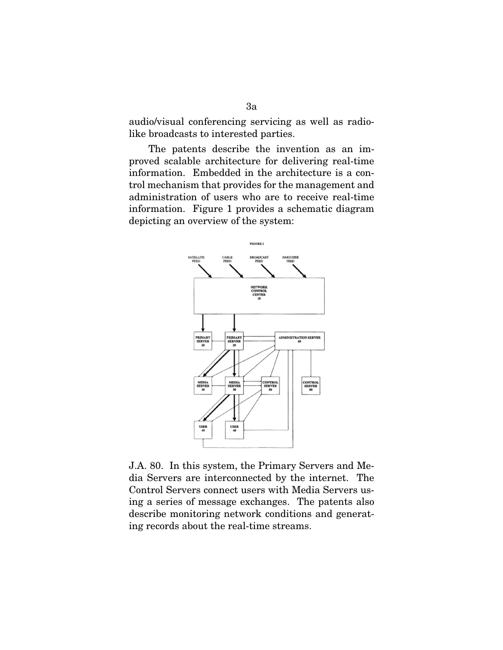audio/visual conferencing servicing as well as radiolike broadcasts to interested parties.

The patents describe the invention as an improved scalable architecture for delivering real-time information. Embedded in the architecture is a control mechanism that provides for the management and administration of users who are to receive real-time information. Figure 1 provides a schematic diagram depicting an overview of the system:



J.A. 80. In this system, the Primary Servers and Media Servers are interconnected by the internet. The Control Servers connect users with Media Servers using a series of message exchanges. The patents also describe monitoring network conditions and generating records about the real-time streams.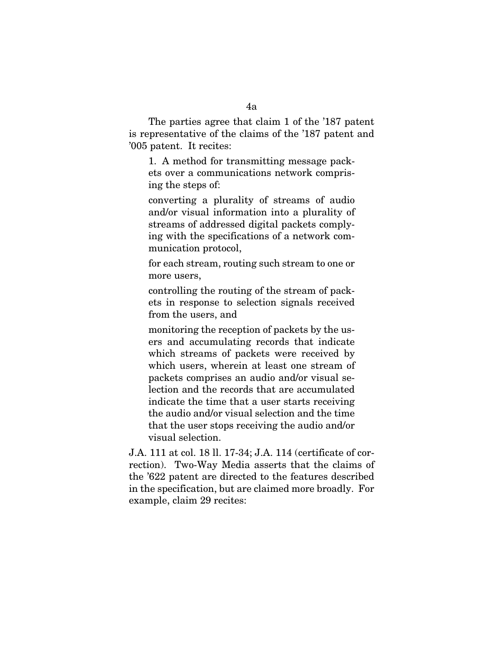The parties agree that claim 1 of the '187 patent is representative of the claims of the '187 patent and '005 patent. It recites:

1. A method for transmitting message packets over a communications network comprising the steps of:

converting a plurality of streams of audio and/or visual information into a plurality of streams of addressed digital packets complying with the specifications of a network communication protocol,

for each stream, routing such stream to one or more users,

controlling the routing of the stream of packets in response to selection signals received from the users, and

monitoring the reception of packets by the users and accumulating records that indicate which streams of packets were received by which users, wherein at least one stream of packets comprises an audio and/or visual selection and the records that are accumulated indicate the time that a user starts receiving the audio and/or visual selection and the time that the user stops receiving the audio and/or visual selection.

J.A. 111 at col. 18 ll. 17-34; J.A. 114 (certificate of correction). Two-Way Media asserts that the claims of the '622 patent are directed to the features described in the specification, but are claimed more broadly. For example, claim 29 recites: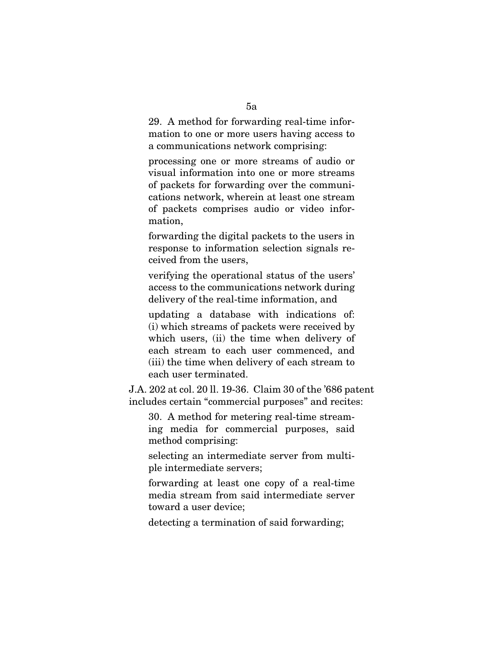29. A method for forwarding real-time information to one or more users having access to a communications network comprising:

processing one or more streams of audio or visual information into one or more streams of packets for forwarding over the communications network, wherein at least one stream of packets comprises audio or video information,

forwarding the digital packets to the users in response to information selection signals received from the users,

verifying the operational status of the users' access to the communications network during delivery of the real-time information, and

updating a database with indications of: (i) which streams of packets were received by which users, (ii) the time when delivery of each stream to each user commenced, and (iii) the time when delivery of each stream to each user terminated.

J.A. 202 at col. 20 ll. 19-36. Claim 30 of the '686 patent includes certain "commercial purposes" and recites:

30. A method for metering real-time streaming media for commercial purposes, said method comprising:

selecting an intermediate server from multiple intermediate servers;

forwarding at least one copy of a real-time media stream from said intermediate server toward a user device;

detecting a termination of said forwarding;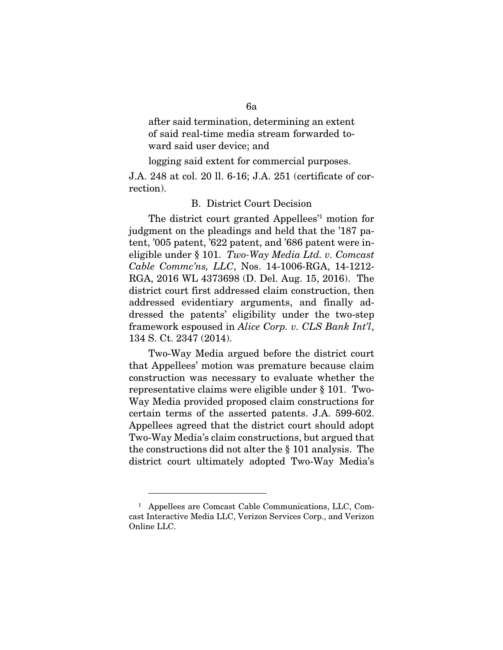after said termination, determining an extent of said real-time media stream forwarded toward said user device; and

logging said extent for commercial purposes.

J.A. 248 at col. 20 ll. 6-16; J.A. 251 (certificate of correction).

### B. District Court Decision

The district court granted Appellees<sup>'1</sup> motion for judgment on the pleadings and held that the '187 patent, '005 patent, '622 patent, and '686 patent were ineligible under § 101. *Two-Way Media Ltd. v. Comcast Cable Commc'ns, LLC*, Nos. 14-1006-RGA, 14-1212- RGA, 2016 WL 4373698 (D. Del. Aug. 15, 2016). The district court first addressed claim construction, then addressed evidentiary arguments, and finally addressed the patents' eligibility under the two-step framework espoused in *Alice Corp. v. CLS Bank Int'l*, 134 S. Ct. 2347 (2014).

Two-Way Media argued before the district court that Appellees' motion was premature because claim construction was necessary to evaluate whether the representative claims were eligible under § 101. Two-Way Media provided proposed claim constructions for certain terms of the asserted patents. J.A. 599-602. Appellees agreed that the district court should adopt Two-Way Media's claim constructions, but argued that the constructions did not alter the § 101 analysis. The district court ultimately adopted Two-Way Media's

 $\overline{a}$ 

<sup>1</sup> Appellees are Comcast Cable Communications, LLC, Comcast Interactive Media LLC, Verizon Services Corp., and Verizon Online LLC.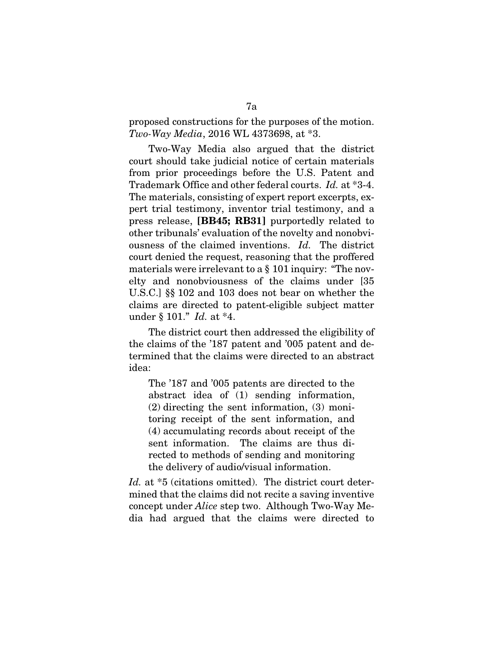proposed constructions for the purposes of the motion. *Two-Way Media*, 2016 WL 4373698, at \*3.

Two-Way Media also argued that the district court should take judicial notice of certain materials from prior proceedings before the U.S. Patent and Trademark Office and other federal courts. *Id.* at \*3-4. The materials, consisting of expert report excerpts, expert trial testimony, inventor trial testimony, and a press release, [BB45; RB31] purportedly related to other tribunals' evaluation of the novelty and nonobviousness of the claimed inventions. *Id.* The district court denied the request, reasoning that the proffered materials were irrelevant to a § 101 inquiry: "The novelty and nonobviousness of the claims under [35 U.S.C.] §§ 102 and 103 does not bear on whether the claims are directed to patent-eligible subject matter under § 101." *Id.* at \*4.

The district court then addressed the eligibility of the claims of the '187 patent and '005 patent and determined that the claims were directed to an abstract idea:

The '187 and '005 patents are directed to the abstract idea of (1) sending information, (2) directing the sent information, (3) monitoring receipt of the sent information, and (4) accumulating records about receipt of the sent information. The claims are thus directed to methods of sending and monitoring the delivery of audio/visual information.

Id. at  $*5$  (citations omitted). The district court determined that the claims did not recite a saving inventive concept under *Alice* step two. Although Two-Way Media had argued that the claims were directed to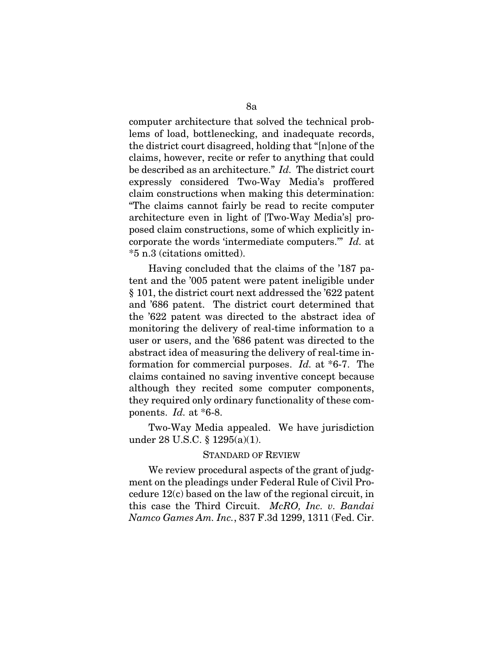computer architecture that solved the technical problems of load, bottlenecking, and inadequate records, the district court disagreed, holding that "[n]one of the claims, however, recite or refer to anything that could be described as an architecture." *Id.* The district court expressly considered Two-Way Media's proffered claim constructions when making this determination: "The claims cannot fairly be read to recite computer architecture even in light of [Two-Way Media's] proposed claim constructions, some of which explicitly incorporate the words 'intermediate computers.'" *Id.* at \*5 n.3 (citations omitted).

Having concluded that the claims of the '187 patent and the '005 patent were patent ineligible under § 101, the district court next addressed the '622 patent and '686 patent. The district court determined that the '622 patent was directed to the abstract idea of monitoring the delivery of real-time information to a user or users, and the '686 patent was directed to the abstract idea of measuring the delivery of real-time information for commercial purposes. *Id.* at \*6-7. The claims contained no saving inventive concept because although they recited some computer components, they required only ordinary functionality of these components. *Id.* at \*6-8.

Two-Way Media appealed. We have jurisdiction under 28 U.S.C. § 1295(a)(1).

#### STANDARD OF REVIEW

We review procedural aspects of the grant of judgment on the pleadings under Federal Rule of Civil Procedure 12(c) based on the law of the regional circuit, in this case the Third Circuit. *McRO, Inc. v. Bandai Namco Games Am. Inc.*, 837 F.3d 1299, 1311 (Fed. Cir.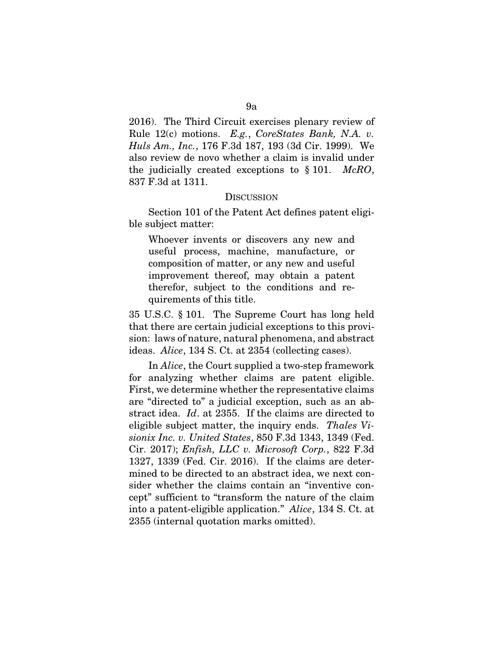2016). The Third Circuit exercises plenary review of Rule 12(c) motions. *E.g.*, *CoreStates Bank, N.A. v. Huls Am., Inc.*, 176 F.3d 187, 193 (3d Cir. 1999). We also review de novo whether a claim is invalid under the judicially created exceptions to § 101. *McRO*, 837 F.3d at 1311.

#### **DISCUSSION**

Section 101 of the Patent Act defines patent eligible subject matter:

Whoever invents or discovers any new and useful process, machine, manufacture, or composition of matter, or any new and useful improvement thereof, may obtain a patent therefor, subject to the conditions and requirements of this title.

35 U.S.C. § 101. The Supreme Court has long held that there are certain judicial exceptions to this provision: laws of nature, natural phenomena, and abstract ideas. *Alice*, 134 S. Ct. at 2354 (collecting cases).

In *Alice*, the Court supplied a two-step framework for analyzing whether claims are patent eligible. First, we determine whether the representative claims are "directed to" a judicial exception, such as an abstract idea. *Id*. at 2355. If the claims are directed to eligible subject matter, the inquiry ends. *Thales Visionix Inc. v. United States*, 850 F.3d 1343, 1349 (Fed. Cir. 2017); *Enfish, LLC v. Microsoft Corp.*, 822 F.3d 1327, 1339 (Fed. Cir. 2016). If the claims are determined to be directed to an abstract idea, we next consider whether the claims contain an "inventive concept" sufficient to "transform the nature of the claim into a patent-eligible application." *Alice*, 134 S. Ct. at 2355 (internal quotation marks omitted).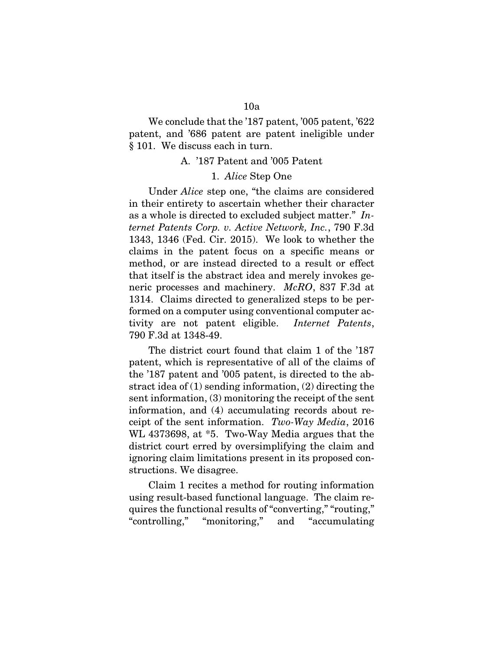We conclude that the '187 patent, '005 patent, '622 patent, and '686 patent are patent ineligible under § 101. We discuss each in turn.

#### A. '187 Patent and '005 Patent

### 1. *Alice* Step One

Under *Alice* step one, "the claims are considered in their entirety to ascertain whether their character as a whole is directed to excluded subject matter." *Internet Patents Corp. v. Active Network, Inc.*, 790 F.3d 1343, 1346 (Fed. Cir. 2015). We look to whether the claims in the patent focus on a specific means or method, or are instead directed to a result or effect that itself is the abstract idea and merely invokes generic processes and machinery. *McRO*, 837 F.3d at 1314. Claims directed to generalized steps to be performed on a computer using conventional computer activity are not patent eligible. *Internet Patents*, 790 F.3d at 1348-49.

The district court found that claim 1 of the '187 patent, which is representative of all of the claims of the '187 patent and '005 patent, is directed to the abstract idea of (1) sending information, (2) directing the sent information, (3) monitoring the receipt of the sent information, and (4) accumulating records about receipt of the sent information. *Two-Way Media*, 2016 WL 4373698, at \*5. Two-Way Media argues that the district court erred by oversimplifying the claim and ignoring claim limitations present in its proposed constructions. We disagree.

Claim 1 recites a method for routing information using result-based functional language. The claim requires the functional results of "converting," "routing," "controlling," "monitoring," and "accumulating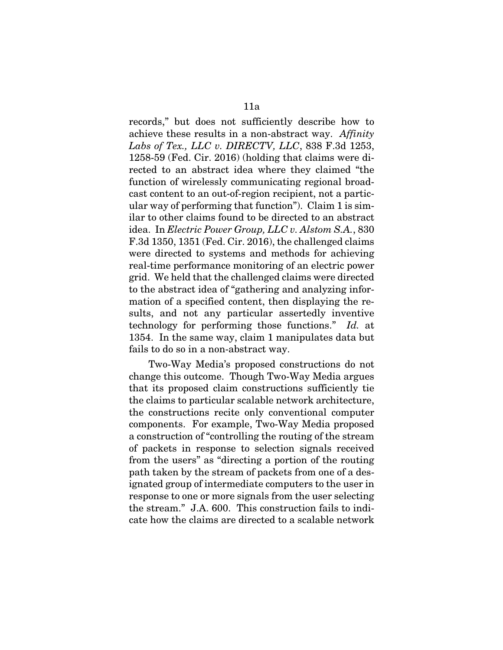records," but does not sufficiently describe how to achieve these results in a non-abstract way. *Affinity Labs of Tex., LLC v. DIRECTV, LLC*, 838 F.3d 1253, 1258-59 (Fed. Cir. 2016) (holding that claims were directed to an abstract idea where they claimed "the function of wirelessly communicating regional broadcast content to an out-of-region recipient, not a particular way of performing that function"). Claim 1 is similar to other claims found to be directed to an abstract idea. In *Electric Power Group, LLC v. Alstom S.A.*, 830 F.3d 1350, 1351 (Fed. Cir. 2016), the challenged claims were directed to systems and methods for achieving real-time performance monitoring of an electric power grid. We held that the challenged claims were directed to the abstract idea of "gathering and analyzing information of a specified content, then displaying the results, and not any particular assertedly inventive technology for performing those functions." *Id.* at 1354. In the same way, claim 1 manipulates data but fails to do so in a non-abstract way.

Two-Way Media's proposed constructions do not change this outcome. Though Two-Way Media argues that its proposed claim constructions sufficiently tie the claims to particular scalable network architecture, the constructions recite only conventional computer components. For example, Two-Way Media proposed a construction of "controlling the routing of the stream of packets in response to selection signals received from the users" as "directing a portion of the routing path taken by the stream of packets from one of a designated group of intermediate computers to the user in response to one or more signals from the user selecting the stream." J.A. 600. This construction fails to indicate how the claims are directed to a scalable network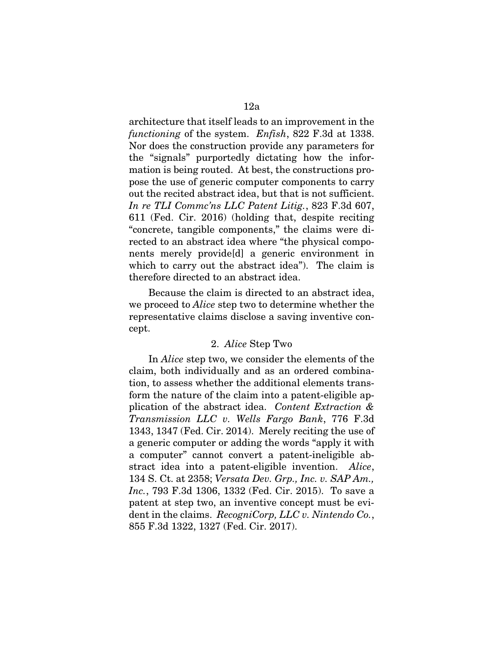architecture that itself leads to an improvement in the *functioning* of the system. *Enfish*, 822 F.3d at 1338. Nor does the construction provide any parameters for the "signals" purportedly dictating how the information is being routed. At best, the constructions propose the use of generic computer components to carry out the recited abstract idea, but that is not sufficient. *In re TLI Commc'ns LLC Patent Litig.*, 823 F.3d 607, 611 (Fed. Cir. 2016) (holding that, despite reciting "concrete, tangible components," the claims were directed to an abstract idea where "the physical components merely provide[d] a generic environment in which to carry out the abstract idea"). The claim is therefore directed to an abstract idea.

Because the claim is directed to an abstract idea, we proceed to *Alice* step two to determine whether the representative claims disclose a saving inventive concept.

### 2. *Alice* Step Two

In *Alice* step two, we consider the elements of the claim, both individually and as an ordered combination, to assess whether the additional elements transform the nature of the claim into a patent-eligible application of the abstract idea. *Content Extraction & Transmission LLC v. Wells Fargo Bank*, 776 F.3d 1343, 1347 (Fed. Cir. 2014). Merely reciting the use of a generic computer or adding the words "apply it with a computer" cannot convert a patent-ineligible abstract idea into a patent-eligible invention. *Alice*, 134 S. Ct. at 2358; *Versata Dev. Grp., Inc. v. SAP Am., Inc.*, 793 F.3d 1306, 1332 (Fed. Cir. 2015). To save a patent at step two, an inventive concept must be evident in the claims. *RecogniCorp, LLC v. Nintendo Co.*, 855 F.3d 1322, 1327 (Fed. Cir. 2017).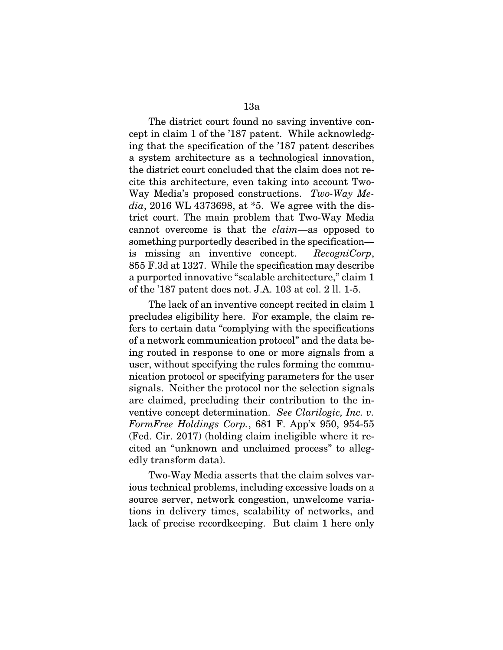The district court found no saving inventive concept in claim 1 of the '187 patent. While acknowledging that the specification of the '187 patent describes a system architecture as a technological innovation, the district court concluded that the claim does not recite this architecture, even taking into account Two-Way Media's proposed constructions. *Two-Way Media*, 2016 WL 4373698, at \*5. We agree with the district court. The main problem that Two-Way Media cannot overcome is that the *claim*—as opposed to something purportedly described in the specification is missing an inventive concept. *RecogniCorp*, 855 F.3d at 1327. While the specification may describe a purported innovative "scalable architecture," claim 1 of the '187 patent does not. J.A. 103 at col. 2 ll. 1-5.

The lack of an inventive concept recited in claim 1 precludes eligibility here. For example, the claim refers to certain data "complying with the specifications of a network communication protocol" and the data being routed in response to one or more signals from a user, without specifying the rules forming the communication protocol or specifying parameters for the user signals. Neither the protocol nor the selection signals are claimed, precluding their contribution to the inventive concept determination. *See Clarilogic, Inc. v. FormFree Holdings Corp.*, 681 F. App'x 950, 954-55 (Fed. Cir. 2017) (holding claim ineligible where it recited an "unknown and unclaimed process" to allegedly transform data).

Two-Way Media asserts that the claim solves various technical problems, including excessive loads on a source server, network congestion, unwelcome variations in delivery times, scalability of networks, and lack of precise recordkeeping. But claim 1 here only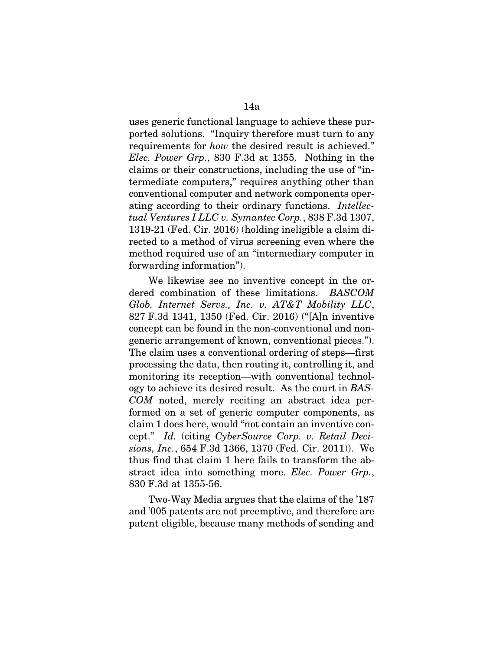uses generic functional language to achieve these purported solutions. "Inquiry therefore must turn to any requirements for *how* the desired result is achieved." *Elec. Power Grp.*, 830 F.3d at 1355. Nothing in the claims or their constructions, including the use of "intermediate computers," requires anything other than conventional computer and network components operating according to their ordinary functions. *Intellectual Ventures I LLC v. Symantec Corp.*, 838 F.3d 1307, 1319-21 (Fed. Cir. 2016) (holding ineligible a claim directed to a method of virus screening even where the method required use of an "intermediary computer in forwarding information").

We likewise see no inventive concept in the ordered combination of these limitations. *BASCOM Glob. Internet Servs., Inc. v. AT&T Mobility LLC*, 827 F.3d 1341, 1350 (Fed. Cir. 2016) ("[A]n inventive concept can be found in the non-conventional and nongeneric arrangement of known, conventional pieces."). The claim uses a conventional ordering of steps—first processing the data, then routing it, controlling it, and monitoring its reception—with conventional technology to achieve its desired result. As the court in *BAS-COM* noted, merely reciting an abstract idea performed on a set of generic computer components, as claim 1 does here, would "not contain an inventive concept." *Id.* (citing *CyberSource Corp. v. Retail Decisions, Inc.*, 654 F.3d 1366, 1370 (Fed. Cir. 2011)). We thus find that claim 1 here fails to transform the abstract idea into something more. *Elec. Power Grp.*, 830 F.3d at 1355-56.

Two-Way Media argues that the claims of the '187 and '005 patents are not preemptive, and therefore are patent eligible, because many methods of sending and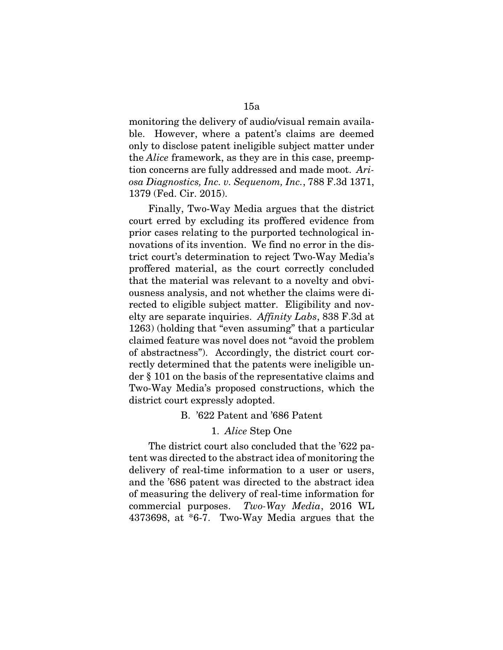monitoring the delivery of audio/visual remain available. However, where a patent's claims are deemed only to disclose patent ineligible subject matter under the *Alice* framework, as they are in this case, preemption concerns are fully addressed and made moot. *Ariosa Diagnostics, Inc. v. Sequenom, Inc.*, 788 F.3d 1371, 1379 (Fed. Cir. 2015).

Finally, Two-Way Media argues that the district court erred by excluding its proffered evidence from prior cases relating to the purported technological innovations of its invention. We find no error in the district court's determination to reject Two-Way Media's proffered material, as the court correctly concluded that the material was relevant to a novelty and obviousness analysis, and not whether the claims were directed to eligible subject matter. Eligibility and novelty are separate inquiries. *Affinity Labs*, 838 F.3d at 1263) (holding that "even assuming" that a particular claimed feature was novel does not "avoid the problem of abstractness"). Accordingly, the district court correctly determined that the patents were ineligible under § 101 on the basis of the representative claims and Two-Way Media's proposed constructions, which the district court expressly adopted.

#### B. '622 Patent and '686 Patent

### 1. *Alice* Step One

The district court also concluded that the '622 patent was directed to the abstract idea of monitoring the delivery of real-time information to a user or users, and the '686 patent was directed to the abstract idea of measuring the delivery of real-time information for commercial purposes. *Two-Way Media*, 2016 WL 4373698, at \*6-7. Two-Way Media argues that the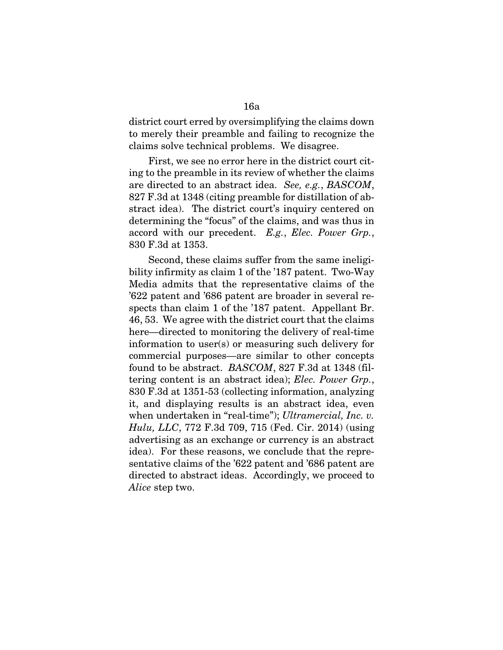district court erred by oversimplifying the claims down to merely their preamble and failing to recognize the claims solve technical problems. We disagree.

First, we see no error here in the district court citing to the preamble in its review of whether the claims are directed to an abstract idea. *See, e.g.*, *BASCOM*, 827 F.3d at 1348 (citing preamble for distillation of abstract idea). The district court's inquiry centered on determining the "focus" of the claims, and was thus in accord with our precedent. *E.g.*, *Elec. Power Grp.*, 830 F.3d at 1353.

Second, these claims suffer from the same ineligibility infirmity as claim 1 of the '187 patent. Two-Way Media admits that the representative claims of the '622 patent and '686 patent are broader in several respects than claim 1 of the '187 patent. Appellant Br. 46, 53. We agree with the district court that the claims here—directed to monitoring the delivery of real-time information to user(s) or measuring such delivery for commercial purposes—are similar to other concepts found to be abstract. *BASCOM*, 827 F.3d at 1348 (filtering content is an abstract idea); *Elec. Power Grp.*, 830 F.3d at 1351-53 (collecting information, analyzing it, and displaying results is an abstract idea, even when undertaken in "real-time"); *Ultramercial, Inc. v. Hulu, LLC*, 772 F.3d 709, 715 (Fed. Cir. 2014) (using advertising as an exchange or currency is an abstract idea). For these reasons, we conclude that the representative claims of the '622 patent and '686 patent are directed to abstract ideas. Accordingly, we proceed to *Alice* step two.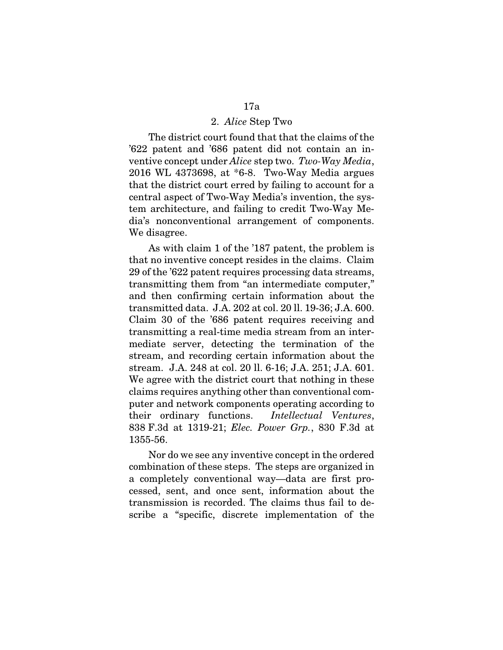#### 2. *Alice* Step Two

The district court found that that the claims of the '622 patent and '686 patent did not contain an inventive concept under *Alice* step two. *Two-Way Media*, 2016 WL 4373698, at \*6-8. Two-Way Media argues that the district court erred by failing to account for a central aspect of Two-Way Media's invention, the system architecture, and failing to credit Two-Way Media's nonconventional arrangement of components. We disagree.

As with claim 1 of the '187 patent, the problem is that no inventive concept resides in the claims. Claim 29 of the '622 patent requires processing data streams, transmitting them from "an intermediate computer," and then confirming certain information about the transmitted data. J.A. 202 at col. 20 ll. 19-36; J.A. 600. Claim 30 of the '686 patent requires receiving and transmitting a real-time media stream from an intermediate server, detecting the termination of the stream, and recording certain information about the stream. J.A. 248 at col. 20 ll. 6-16; J.A. 251; J.A. 601. We agree with the district court that nothing in these claims requires anything other than conventional computer and network components operating according to their ordinary functions. *Intellectual Ventures*, 838 F.3d at 1319-21; *Elec. Power Grp.*, 830 F.3d at 1355-56.

Nor do we see any inventive concept in the ordered combination of these steps. The steps are organized in a completely conventional way—data are first processed, sent, and once sent, information about the transmission is recorded. The claims thus fail to describe a "specific, discrete implementation of the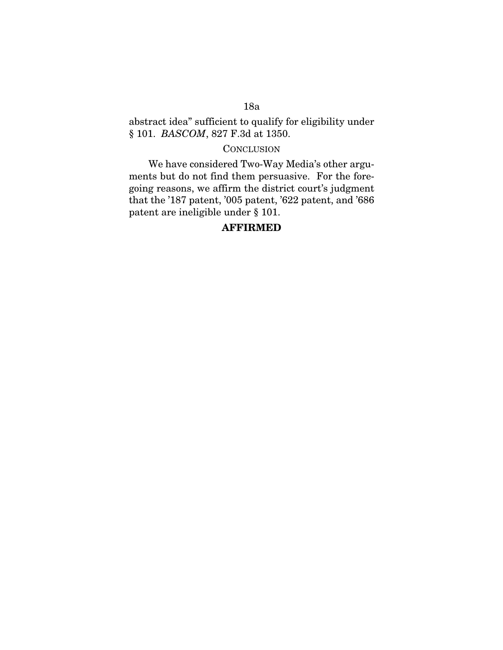abstract idea" sufficient to qualify for eligibility under § 101. *BASCOM*, 827 F.3d at 1350.

# **CONCLUSION**

We have considered Two-Way Media's other arguments but do not find them persuasive. For the foregoing reasons, we affirm the district court's judgment that the '187 patent, '005 patent, '622 patent, and '686 patent are ineligible under § 101.

# AFFIRMED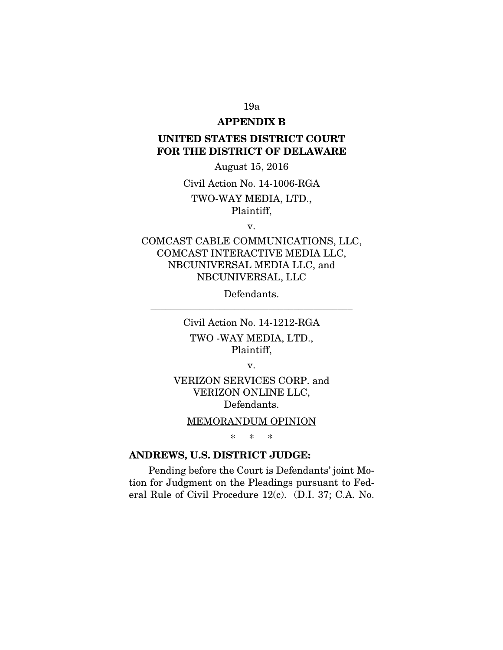# APPENDIX B

# UNITED STATES DISTRICT COURT FOR THE DISTRICT OF DELAWARE

August 15, 2016

Civil Action No. 14-1006-RGA TWO-WAY MEDIA, LTD., Plaintiff,

v.

# COMCAST CABLE COMMUNICATIONS, LLC, COMCAST INTERACTIVE MEDIA LLC, NBCUNIVERSAL MEDIA LLC, and NBCUNIVERSAL, LLC

Defendants. \_\_\_\_\_\_\_\_\_\_\_\_\_\_\_\_\_\_\_\_\_\_\_\_\_\_\_\_\_\_\_\_\_\_\_\_\_\_\_\_\_

> Civil Action No. 14-1212-RGA TWO -WAY MEDIA, LTD., Plaintiff,

> > v.

VERIZON SERVICES CORP. and VERIZON ONLINE LLC, Defendants.

### MEMORANDUM OPINION

\* \* \*

# ANDREWS, U.S. DISTRICT JUDGE:

Pending before the Court is Defendants' joint Motion for Judgment on the Pleadings pursuant to Federal Rule of Civil Procedure 12(c). (D.I. 37; C.A. No.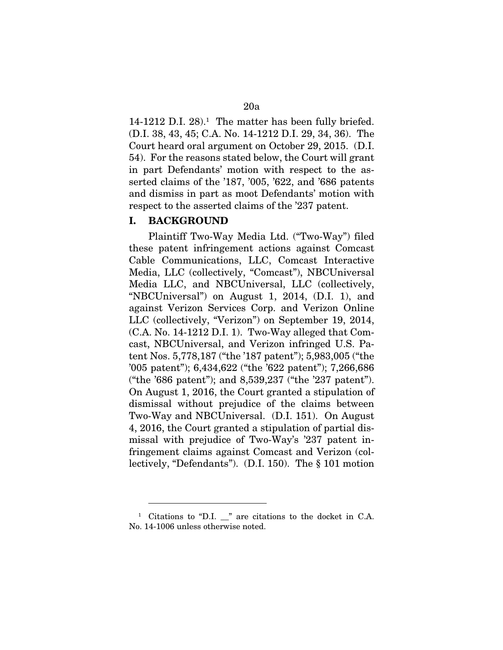14-1212 D.I. 28).<sup>1</sup> The matter has been fully briefed. (D.I. 38, 43, 45; C.A. No. 14-1212 D.I. 29, 34, 36). The Court heard oral argument on October 29, 2015. (D.I. 54). For the reasons stated below, the Court will grant in part Defendants' motion with respect to the asserted claims of the '187, '005, '622, and '686 patents and dismiss in part as moot Defendants' motion with respect to the asserted claims of the '237 patent.

### I. BACKGROUND

 $\overline{a}$ 

Plaintiff Two-Way Media Ltd. ("Two-Way") filed these patent infringement actions against Comcast Cable Communications, LLC, Comcast Interactive Media, LLC (collectively, "Comcast"), NBCUniversal Media LLC, and NBCUniversal, LLC (collectively, "NBCUniversal") on August 1, 2014, (D.I. 1), and against Verizon Services Corp. and Verizon Online LLC (collectively, "Verizon") on September 19, 2014, (C.A. No. 14-1212 D.I. 1). Two-Way alleged that Comcast, NBCUniversal, and Verizon infringed U.S. Patent Nos. 5,778,187 ("the '187 patent"); 5,983,005 ("the '005 patent"); 6,434,622 ("the '622 patent"); 7,266,686 ("the '686 patent"); and 8,539,237 ("the '237 patent"). On August 1, 2016, the Court granted a stipulation of dismissal without prejudice of the claims between Two-Way and NBCUniversal. (D.I. 151). On August 4, 2016, the Court granted a stipulation of partial dismissal with prejudice of Two-Way's '237 patent infringement claims against Comcast and Verizon (collectively, "Defendants"). (D.I. 150). The § 101 motion

<sup>&</sup>lt;sup>1</sup> Citations to "D.I. \_" are citations to the docket in C.A. No. 14-1006 unless otherwise noted.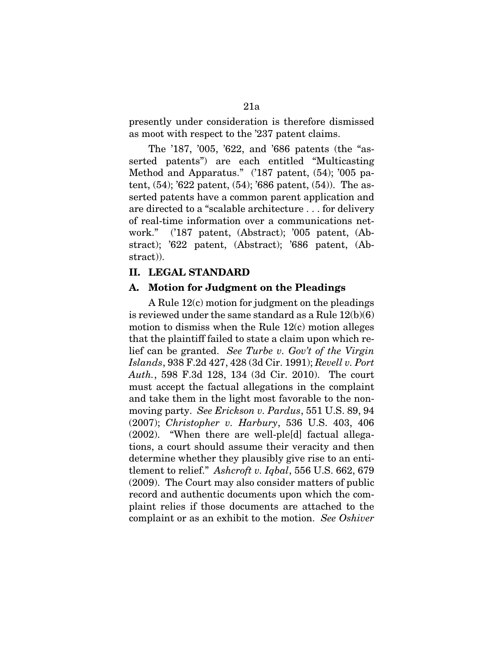presently under consideration is therefore dismissed as moot with respect to the '237 patent claims.

The '187, '005, '622, and '686 patents (the "asserted patents") are each entitled "Multicasting Method and Apparatus." ('187 patent, (54); '005 patent, (54); '622 patent, (54); '686 patent, (54)). The asserted patents have a common parent application and are directed to a "scalable architecture . . . for delivery of real-time information over a communications network." ('187 patent, (Abstract); '005 patent, (Abstract); '622 patent, (Abstract); '686 patent, (Abstract)).

# II. LEGAL STANDARD

### A. Motion for Judgment on the Pleadings

A Rule 12(c) motion for judgment on the pleadings is reviewed under the same standard as a Rule 12(b)(6) motion to dismiss when the Rule 12(c) motion alleges that the plaintiff failed to state a claim upon which relief can be granted. *See Turbe v. Gov't of the Virgin Islands*, 938 F.2d 427, 428 (3d Cir. 1991); *Revell v. Port Auth.*, 598 F.3d 128, 134 (3d Cir. 2010). The court must accept the factual allegations in the complaint and take them in the light most favorable to the nonmoving party. *See Erickson v. Pardus*, 551 U.S. 89, 94 (2007); *Christopher v. Harbury*, 536 U.S. 403, 406 (2002). "When there are well-ple[d] factual allegations, a court should assume their veracity and then determine whether they plausibly give rise to an entitlement to relief." *Ashcroft v. Iqbal*, 556 U.S. 662, 679 (2009). The Court may also consider matters of public record and authentic documents upon which the complaint relies if those documents are attached to the complaint or as an exhibit to the motion. *See Oshiver*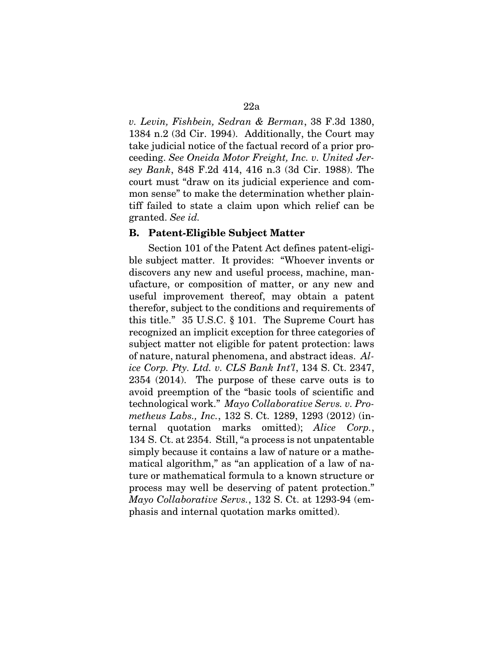*v. Levin, Fishbein, Sedran & Berman*, 38 F.3d 1380, 1384 n.2 (3d Cir. 1994). Additionally, the Court may take judicial notice of the factual record of a prior proceeding. *See Oneida Motor Freight, Inc. v. United Jersey Bank*, 848 F.2d 414, 416 n.3 (3d Cir. 1988). The court must "draw on its judicial experience and common sense" to make the determination whether plaintiff failed to state a claim upon which relief can be granted. *See id.* 

### B. Patent-Eligible Subject Matter

Section 101 of the Patent Act defines patent-eligible subject matter. It provides: "Whoever invents or discovers any new and useful process, machine, manufacture, or composition of matter, or any new and useful improvement thereof, may obtain a patent therefor, subject to the conditions and requirements of this title." 35 U.S.C. § 101. The Supreme Court has recognized an implicit exception for three categories of subject matter not eligible for patent protection: laws of nature, natural phenomena, and abstract ideas. *Alice Corp. Pty. Ltd. v. CLS Bank Int'l*, 134 S. Ct. 2347, 2354 (2014). The purpose of these carve outs is to avoid preemption of the "basic tools of scientific and technological work." *Mayo Collaborative Servs. v. Prometheus Labs., Inc.*, 132 S. Ct. 1289, 1293 (2012) (internal quotation marks omitted); *Alice Corp.*, 134 S. Ct. at 2354. Still, "a process is not unpatentable simply because it contains a law of nature or a mathematical algorithm," as "an application of a law of nature or mathematical formula to a known structure or process may well be deserving of patent protection." *Mayo Collaborative Servs.*, 132 S. Ct. at 1293-94 (emphasis and internal quotation marks omitted).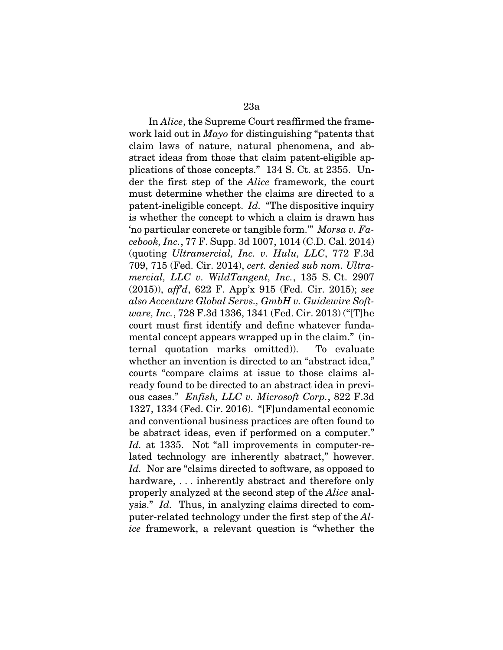In *Alice*, the Supreme Court reaffirmed the framework laid out in *Mayo* for distinguishing "patents that claim laws of nature, natural phenomena, and abstract ideas from those that claim patent-eligible applications of those concepts." 134 S. Ct. at 2355. Under the first step of the *Alice* framework, the court must determine whether the claims are directed to a patent-ineligible concept. *Id.* "The dispositive inquiry is whether the concept to which a claim is drawn has 'no particular concrete or tangible form.'" *Morsa v. Facebook, Inc.*, 77 F. Supp. 3d 1007, 1014 (C.D. Cal. 2014) (quoting *Ultramercial, Inc. v. Hulu, LLC*, 772 F.3d 709, 715 (Fed. Cir. 2014), *cert. denied sub nom. Ultramercial, LLC v. WildTangent, Inc.*, 135 S. Ct. 2907 (2015)), *aff'd*, 622 F. App'x 915 (Fed. Cir. 2015); *see also Accenture Global Servs., GmbH v. Guidewire Software, Inc.*, 728 F.3d 1336, 1341 (Fed. Cir. 2013) ("[T]he court must first identify and define whatever fundamental concept appears wrapped up in the claim." (internal quotation marks omitted)). To evaluate whether an invention is directed to an "abstract idea," courts "compare claims at issue to those claims already found to be directed to an abstract idea in previous cases." *Enfish, LLC v. Microsoft Corp.*, 822 F.3d 1327, 1334 (Fed. Cir. 2016). "[F]undamental economic and conventional business practices are often found to be abstract ideas, even if performed on a computer." *Id.* at 1335. Not "all improvements in computer-related technology are inherently abstract," however. *Id.* Nor are "claims directed to software, as opposed to hardware, ... inherently abstract and therefore only properly analyzed at the second step of the *Alice* analysis." *Id.* Thus, in analyzing claims directed to computer-related technology under the first step of the *Alice* framework, a relevant question is "whether the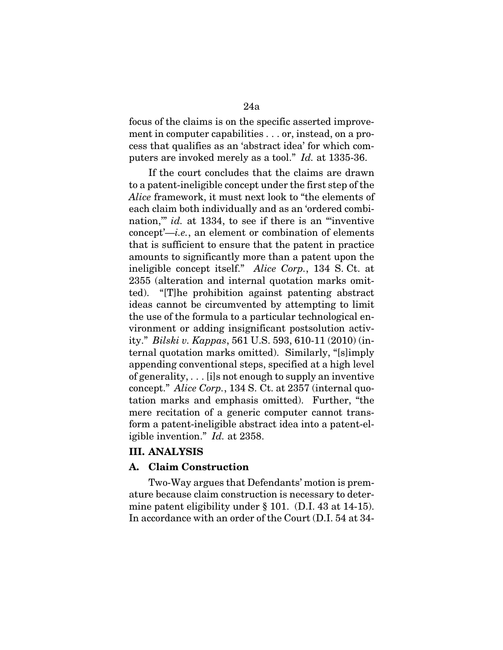focus of the claims is on the specific asserted improvement in computer capabilities . . . or, instead, on a process that qualifies as an 'abstract idea' for which computers are invoked merely as a tool." *Id.* at 1335-36.

If the court concludes that the claims are drawn to a patent-ineligible concept under the first step of the *Alice* framework, it must next look to "the elements of each claim both individually and as an 'ordered combination,'" *id.* at 1334, to see if there is an "'inventive concept'—*i.e.*, an element or combination of elements that is sufficient to ensure that the patent in practice amounts to significantly more than a patent upon the ineligible concept itself." *Alice Corp.*, 134 S. Ct. at 2355 (alteration and internal quotation marks omitted). "[T]he prohibition against patenting abstract ideas cannot be circumvented by attempting to limit the use of the formula to a particular technological environment or adding insignificant postsolution activity." *Bilski v. Kappas*, 561 U.S. 593, 610-11 (2010) (internal quotation marks omitted). Similarly, "[s]imply appending conventional steps, specified at a high level of generality, . . . [i]s not enough to supply an inventive concept." *Alice Corp.*, 134 S. Ct. at 2357 (internal quotation marks and emphasis omitted). Further, "the mere recitation of a generic computer cannot transform a patent-ineligible abstract idea into a patent-eligible invention." *Id.* at 2358.

# III. ANALYSIS

### A. Claim Construction

Two-Way argues that Defendants' motion is premature because claim construction is necessary to determine patent eligibility under § 101. (D.I. 43 at 14-15). In accordance with an order of the Court (D.I. 54 at 34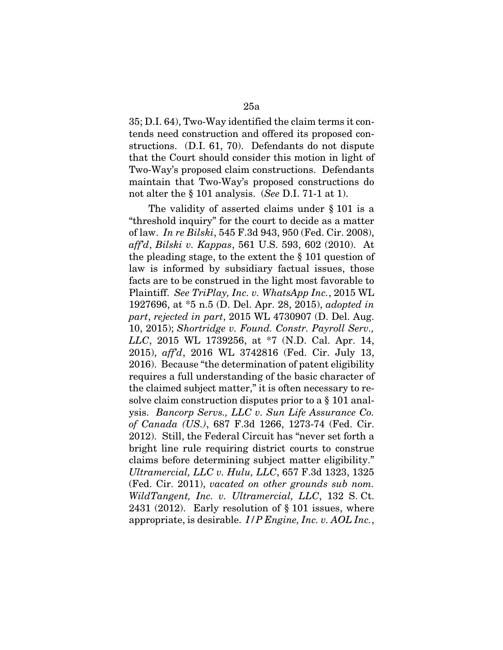35; D.I. 64), Two-Way identified the claim terms it contends need construction and offered its proposed constructions. (D.I. 61, 70). Defendants do not dispute that the Court should consider this motion in light of Two-Way's proposed claim constructions. Defendants maintain that Two-Way's proposed constructions do not alter the § 101 analysis. (*See* D.I. 71-1 at 1).

The validity of asserted claims under § 101 is a "threshold inquiry" for the court to decide as a matter of law. *In re Bilski*, 545 F.3d 943, 950 (Fed. Cir. 2008), *aff'd*, *Bilski v. Kappas*, 561 U.S. 593, 602 (2010). At the pleading stage, to the extent the § 101 question of law is informed by subsidiary factual issues, those facts are to be construed in the light most favorable to Plaintiff. *See TriPlay, Inc. v. WhatsApp Inc.*, 2015 WL 1927696, at \*5 n.5 (D. Del. Apr. 28, 2015), *adopted in part*, *rejected in part*, 2015 WL 4730907 (D. Del. Aug. 10, 2015); *Shortridge v. Found. Constr. Payroll Serv., LLC*, 2015 WL 1739256, at \*7 (N.D. Cal. Apr. 14, 2015), *aff'd*, 2016 WL 3742816 (Fed. Cir. July 13, 2016). Because "the determination of patent eligibility requires a full understanding of the basic character of the claimed subject matter," it is often necessary to resolve claim construction disputes prior to a § 101 analysis. *Bancorp Servs., LLC v. Sun Life Assurance Co. of Canada (US.)*, 687 F.3d 1266, 1273-74 (Fed. Cir. 2012). Still, the Federal Circuit has "never set forth a bright line rule requiring district courts to construe claims before determining subject matter eligibility." *Ultramercial, LLC v. Hulu, LLC*, 657 F.3d 1323, 1325 (Fed. Cir. 2011), *vacated on other grounds sub nom. WildTangent, Inc. v. Ultramercial, LLC*, 132 S. Ct. 2431 (2012). Early resolution of § 101 issues, where appropriate, is desirable. *I/P Engine, Inc. v. AOL Inc.*,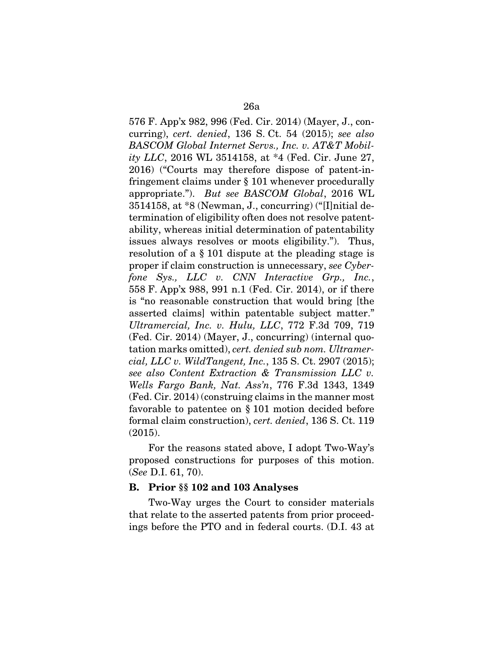576 F. App'x 982, 996 (Fed. Cir. 2014) (Mayer, J., concurring), *cert. denied*, 136 S. Ct. 54 (2015); *see also BASCOM Global Internet Servs., Inc. v. AT&T Mobility LLC*, 2016 WL 3514158, at \*4 (Fed. Cir. June 27, 2016) ("Courts may therefore dispose of patent-infringement claims under § 101 whenever procedurally appropriate."). *But see BASCOM Global*, 2016 WL 3514158, at \*8 (Newman, J., concurring) ("[I]nitial determination of eligibility often does not resolve patentability, whereas initial determination of patentability issues always resolves or moots eligibility."). Thus, resolution of a § 101 dispute at the pleading stage is proper if claim construction is unnecessary, *see Cyberfone Sys., LLC v. CNN Interactive Grp., Inc.*, 558 F. App'x 988, 991 n.1 (Fed. Cir. 2014), or if there is "no reasonable construction that would bring [the asserted claims] within patentable subject matter." *Ultramercial, Inc. v. Hulu, LLC*, 772 F.3d 709, 719 (Fed. Cir. 2014) (Mayer, J., concurring) (internal quotation marks omitted), *cert. denied sub nom. Ultramercial, LLC v. WildTangent, Inc.*, 135 S. Ct. 2907 (2015); *see also Content Extraction & Transmission LLC v. Wells Fargo Bank, Nat. Ass'n*, 776 F.3d 1343, 1349 (Fed. Cir. 2014) (construing claims in the manner most favorable to patentee on § 101 motion decided before formal claim construction), *cert. denied*, 136 S. Ct. 119 (2015).

For the reasons stated above, I adopt Two-Way's proposed constructions for purposes of this motion. (*See* D.I. 61, 70).

### B. Prior §§ 102 and 103 Analyses

Two-Way urges the Court to consider materials that relate to the asserted patents from prior proceedings before the PTO and in federal courts. (D.I. 43 at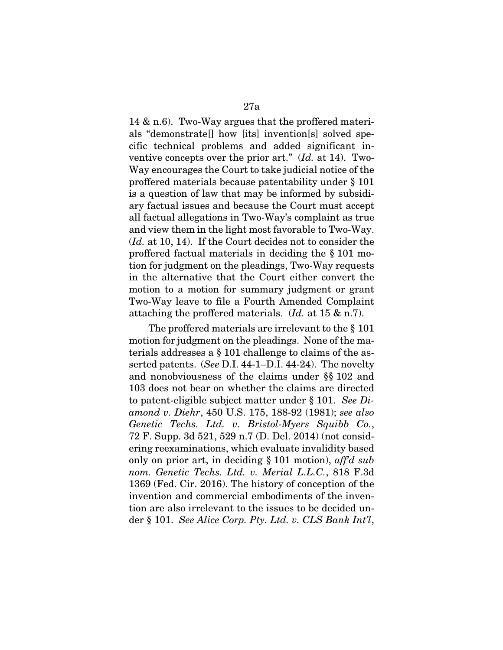14 & n.6). Two-Way argues that the proffered materials "demonstrate[] how [its] invention[s] solved specific technical problems and added significant inventive concepts over the prior art." (*Id.* at 14). Two-Way encourages the Court to take judicial notice of the proffered materials because patentability under § 101 is a question of law that may be informed by subsidiary factual issues and because the Court must accept all factual allegations in Two-Way's complaint as true and view them in the light most favorable to Two-Way. (*Id.* at 10, 14). If the Court decides not to consider the proffered factual materials in deciding the § 101 motion for judgment on the pleadings, Two-Way requests in the alternative that the Court either convert the motion to a motion for summary judgment or grant Two-Way leave to file a Fourth Amended Complaint attaching the proffered materials. (*Id.* at 15 & n.7).

The proffered materials are irrelevant to the § 101 motion for judgment on the pleadings. None of the materials addresses a § 101 challenge to claims of the asserted patents. (*See* D.I. 44-1–D.I. 44-24). The novelty and nonobviousness of the claims under §§ 102 and 103 does not bear on whether the claims are directed to patent-eligible subject matter under § 101. *See Diamond v. Diehr*, 450 U.S. 175, 188-92 (1981); *see also Genetic Techs. Ltd. v. Bristol-Myers Squibb Co.*, 72 F. Supp. 3d 521, 529 n.7 (D. Del. 2014) (not considering reexaminations, which evaluate invalidity based only on prior art, in deciding § 101 motion), *aff'd sub nom. Genetic Techs. Ltd. v. Merial L.L.C.*, 818 F.3d 1369 (Fed. Cir. 2016). The history of conception of the invention and commercial embodiments of the invention are also irrelevant to the issues to be decided under § 101. *See Alice Corp. Pty. Ltd. v. CLS Bank Int'l*,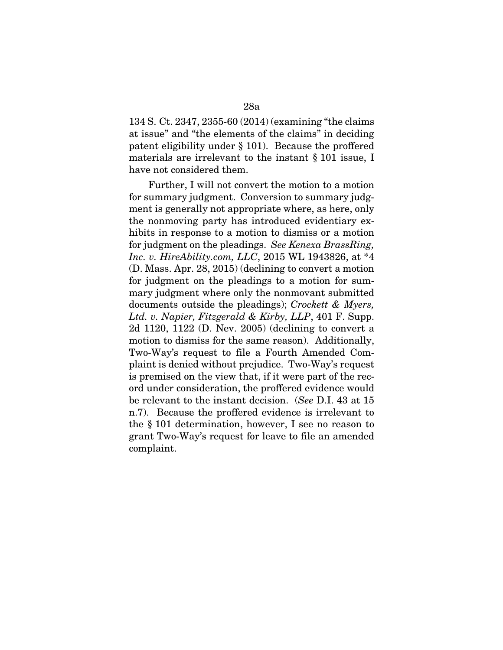134 S. Ct. 2347, 2355-60 (2014) (examining "the claims at issue" and "the elements of the claims" in deciding patent eligibility under § 101). Because the proffered materials are irrelevant to the instant § 101 issue, I have not considered them.

Further, I will not convert the motion to a motion for summary judgment. Conversion to summary judgment is generally not appropriate where, as here, only the nonmoving party has introduced evidentiary exhibits in response to a motion to dismiss or a motion for judgment on the pleadings. *See Kenexa BrassRing, Inc. v. HireAbility.com, LLC*, 2015 WL 1943826, at \*4 (D. Mass. Apr. 28, 2015) (declining to convert a motion for judgment on the pleadings to a motion for summary judgment where only the nonmovant submitted documents outside the pleadings); *Crockett & Myers, Ltd. v. Napier, Fitzgerald & Kirby, LLP*, 401 F. Supp. 2d 1120, 1122 (D. Nev. 2005) (declining to convert a motion to dismiss for the same reason). Additionally, Two-Way's request to file a Fourth Amended Complaint is denied without prejudice. Two-Way's request is premised on the view that, if it were part of the record under consideration, the proffered evidence would be relevant to the instant decision. (*See* D.I. 43 at 15 n.7). Because the proffered evidence is irrelevant to the § 101 determination, however, I see no reason to grant Two-Way's request for leave to file an amended complaint.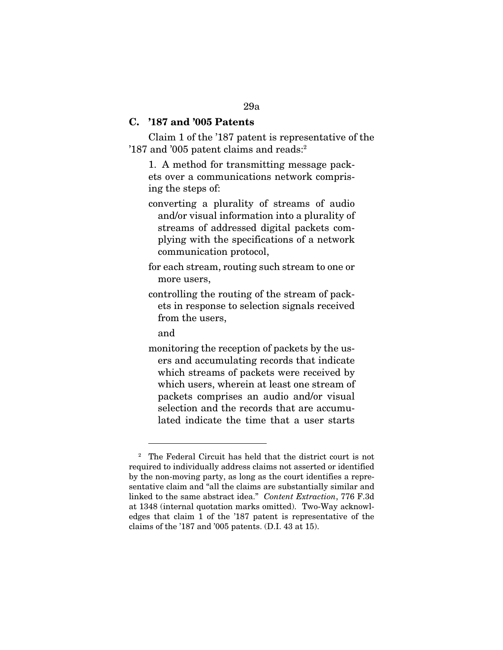### C. '187 and '005 Patents

Claim 1 of the '187 patent is representative of the '187 and '005 patent claims and reads:<sup>2</sup>

1. A method for transmitting message packets over a communications network comprising the steps of:

- converting a plurality of streams of audio and/or visual information into a plurality of streams of addressed digital packets complying with the specifications of a network communication protocol,
- for each stream, routing such stream to one or more users,
- controlling the routing of the stream of packets in response to selection signals received from the users,

and

 $\overline{a}$ 

monitoring the reception of packets by the users and accumulating records that indicate which streams of packets were received by which users, wherein at least one stream of packets comprises an audio and/or visual selection and the records that are accumulated indicate the time that a user starts

<sup>2</sup> The Federal Circuit has held that the district court is not required to individually address claims not asserted or identified by the non-moving party, as long as the court identifies a representative claim and "all the claims are substantially similar and linked to the same abstract idea." *Content Extraction*, 776 F.3d at 1348 (internal quotation marks omitted). Two-Way acknowledges that claim 1 of the '187 patent is representative of the claims of the '187 and '005 patents. (D.I. 43 at 15).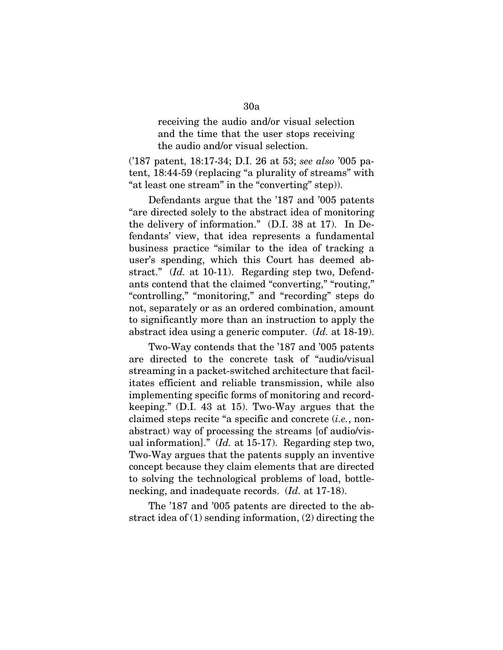receiving the audio and/or visual selection and the time that the user stops receiving the audio and/or visual selection.

('187 patent, 18:17-34; D.I. 26 at 53; *see also* '005 patent, 18:44-59 (replacing "a plurality of streams" with "at least one stream" in the "converting" step)).

Defendants argue that the '187 and '005 patents "are directed solely to the abstract idea of monitoring the delivery of information." (D.I. 38 at 17). In Defendants' view, that idea represents a fundamental business practice "similar to the idea of tracking a user's spending, which this Court has deemed abstract." (*Id.* at 10-11). Regarding step two, Defendants contend that the claimed "converting," "routing," "controlling," "monitoring," and "recording" steps do not, separately or as an ordered combination, amount to significantly more than an instruction to apply the abstract idea using a generic computer. (*Id.* at 18-19).

Two-Way contends that the '187 and '005 patents are directed to the concrete task of "audio/visual streaming in a packet-switched architecture that facilitates efficient and reliable transmission, while also implementing specific forms of monitoring and recordkeeping." (D.I. 43 at 15). Two-Way argues that the claimed steps recite "a specific and concrete (*i.e.*, nonabstract) way of processing the streams [of audio/visual information]." (*Id.* at 15-17). Regarding step two, Two-Way argues that the patents supply an inventive concept because they claim elements that are directed to solving the technological problems of load, bottlenecking, and inadequate records. (*Id.* at 17-18).

The '187 and '005 patents are directed to the abstract idea of (1) sending information, (2) directing the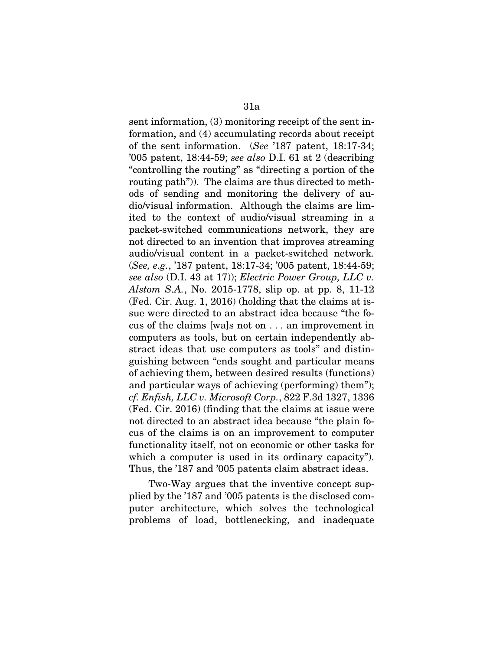sent information, (3) monitoring receipt of the sent information, and (4) accumulating records about receipt of the sent information. (*See* '187 patent, 18:17-34; '005 patent, 18:44-59; *see also* D.I. 61 at 2 (describing "controlling the routing" as "directing a portion of the routing path")). The claims are thus directed to methods of sending and monitoring the delivery of audio/visual information. Although the claims are limited to the context of audio/visual streaming in a packet-switched communications network, they are not directed to an invention that improves streaming audio/visual content in a packet-switched network. (*See, e.g.*, '187 patent, 18:17-34; '005 patent, 18:44-59; *see also* (D.I. 43 at 17)); *Electric Power Group, LLC v. Alstom S.A.*, No. 2015-1778, slip op. at pp. 8, 11-12 (Fed. Cir. Aug. 1, 2016) (holding that the claims at issue were directed to an abstract idea because "the focus of the claims [wa]s not on . . . an improvement in computers as tools, but on certain independently abstract ideas that use computers as tools" and distinguishing between "ends sought and particular means of achieving them, between desired results (functions) and particular ways of achieving (performing) them"); *cf. Enfish, LLC v. Microsoft Corp.*, 822 F.3d 1327, 1336 (Fed. Cir. 2016) (finding that the claims at issue were not directed to an abstract idea because "the plain focus of the claims is on an improvement to computer functionality itself, not on economic or other tasks for which a computer is used in its ordinary capacity"). Thus, the '187 and '005 patents claim abstract ideas.

Two-Way argues that the inventive concept supplied by the '187 and '005 patents is the disclosed computer architecture, which solves the technological problems of load, bottlenecking, and inadequate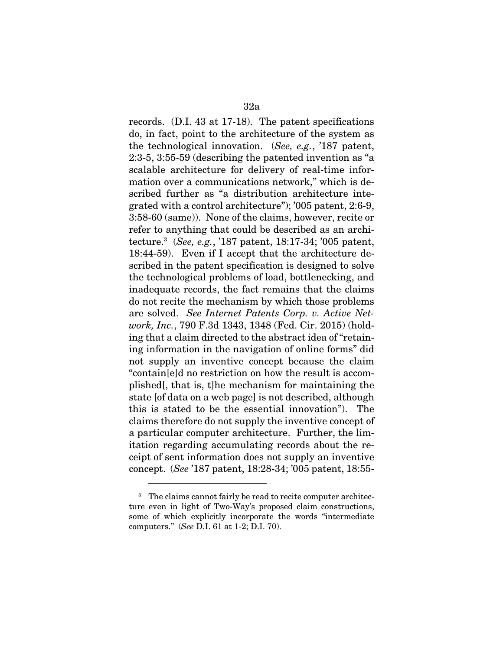records. (D.I. 43 at 17-18). The patent specifications do, in fact, point to the architecture of the system as the technological innovation. (*See, e.g.*, '187 patent, 2:3-5, 3:55-59 (describing the patented invention as "a scalable architecture for delivery of real-time information over a communications network," which is described further as "a distribution architecture integrated with a control architecture"); '005 patent, 2:6-9, 3:58-60 (same)). None of the claims, however, recite or refer to anything that could be described as an architecture.3 (*See, e.g.*, '187 patent, 18:17-34; '005 patent, 18:44-59). Even if I accept that the architecture described in the patent specification is designed to solve the technological problems of load, bottlenecking, and inadequate records, the fact remains that the claims do not recite the mechanism by which those problems are solved. *See Internet Patents Corp. v. Active Network, Inc.*, 790 F.3d 1343, 1348 (Fed. Cir. 2015) (holding that a claim directed to the abstract idea of "retaining information in the navigation of online forms" did not supply an inventive concept because the claim "contain[e]d no restriction on how the result is accomplished[, that is, t]he mechanism for maintaining the state [of data on a web page] is not described, although this is stated to be the essential innovation"). The claims therefore do not supply the inventive concept of a particular computer architecture. Further, the limitation regarding accumulating records about the receipt of sent information does not supply an inventive concept. (*See* '187 patent, 18:28-34; '005 patent, 18:55-

 $\overline{a}$ 

<sup>3</sup> The claims cannot fairly be read to recite computer architecture even in light of Two-Way's proposed claim constructions, some of which explicitly incorporate the words "intermediate computers." (*See* D.I. 61 at 1-2; D.I. 70).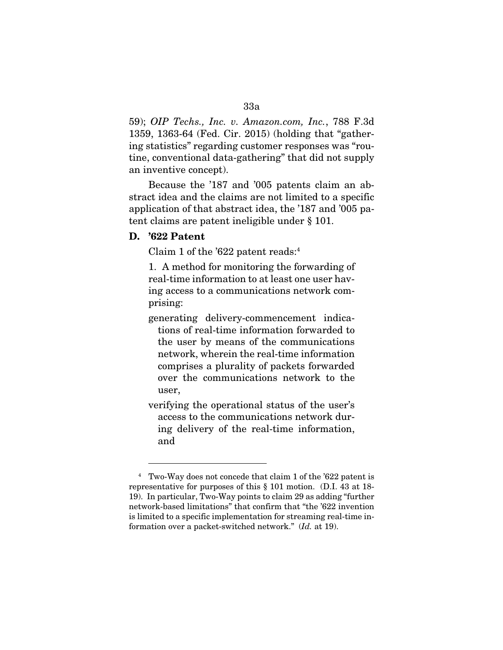# 59); *OIP Techs., Inc. v. Amazon.com, Inc.*, 788 F.3d 1359, 1363-64 (Fed. Cir. 2015) (holding that "gathering statistics" regarding customer responses was "routine, conventional data-gathering" that did not supply an inventive concept).

Because the '187 and '005 patents claim an abstract idea and the claims are not limited to a specific application of that abstract idea, the '187 and '005 patent claims are patent ineligible under § 101.

# D. '622 Patent

 $\overline{a}$ 

Claim 1 of the '622 patent reads:4

1. A method for monitoring the forwarding of real-time information to at least one user having access to a communications network comprising:

- generating delivery-commencement indications of real-time information forwarded to the user by means of the communications network, wherein the real-time information comprises a plurality of packets forwarded over the communications network to the user,
- verifying the operational status of the user's access to the communications network during delivery of the real-time information, and

<sup>4</sup> Two-Way does not concede that claim 1 of the '622 patent is representative for purposes of this § 101 motion. (D.I. 43 at 18- 19). In particular, Two-Way points to claim 29 as adding "further network-based limitations" that confirm that "the '622 invention is limited to a specific implementation for streaming real-time information over a packet-switched network." (*Id.* at 19).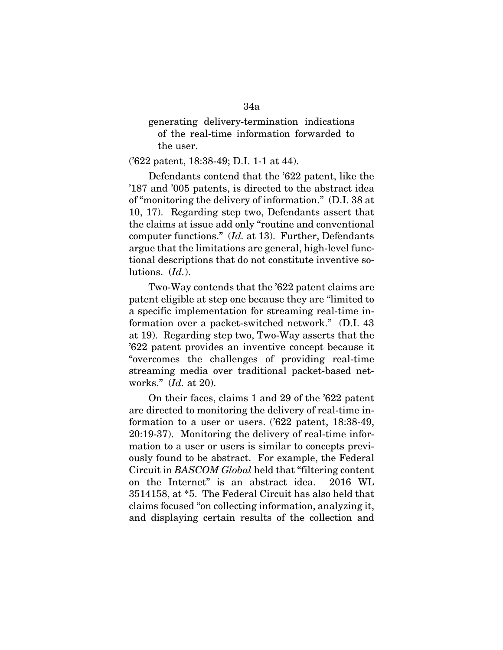generating delivery-termination indications of the real-time information forwarded to the user.

('622 patent, 18:38-49; D.I. 1-1 at 44).

Defendants contend that the '622 patent, like the '187 and '005 patents, is directed to the abstract idea of "monitoring the delivery of information." (D.I. 38 at 10, 17). Regarding step two, Defendants assert that the claims at issue add only "routine and conventional computer functions." (*Id.* at 13). Further, Defendants argue that the limitations are general, high-level functional descriptions that do not constitute inventive solutions. (*Id.*).

Two-Way contends that the '622 patent claims are patent eligible at step one because they are "limited to a specific implementation for streaming real-time information over a packet-switched network." (D.I. 43 at 19). Regarding step two, Two-Way asserts that the '622 patent provides an inventive concept because it "overcomes the challenges of providing real-time streaming media over traditional packet-based networks." (*Id.* at 20).

On their faces, claims 1 and 29 of the '622 patent are directed to monitoring the delivery of real-time information to a user or users. ('622 patent, 18:38-49, 20:19-37). Monitoring the delivery of real-time information to a user or users is similar to concepts previously found to be abstract. For example, the Federal Circuit in *BASCOM Global* held that "filtering content on the Internet" is an abstract idea. 2016 WL 3514158, at \*5. The Federal Circuit has also held that claims focused "on collecting information, analyzing it, and displaying certain results of the collection and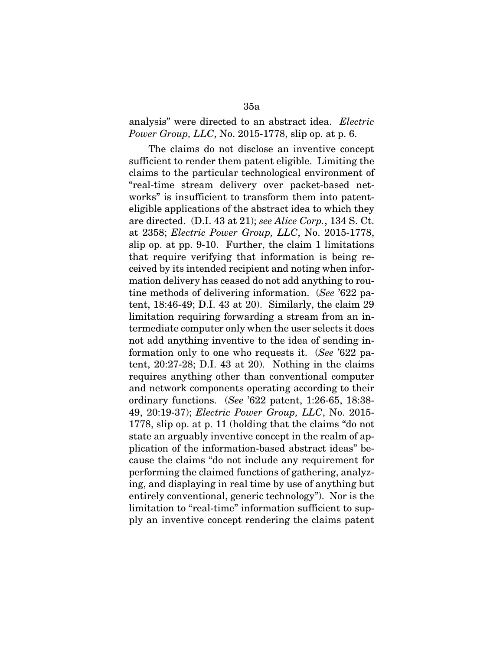# analysis" were directed to an abstract idea. *Electric Power Group, LLC, No.* 2015-1778, slip op. at p. 6.

The claims do not disclose an inventive concept sufficient to render them patent eligible. Limiting the claims to the particular technological environment of "real-time stream delivery over packet-based networks" is insufficient to transform them into patenteligible applications of the abstract idea to which they are directed. (D.I. 43 at 21); *see Alice Corp.*, 134 S. Ct. at 2358; *Electric Power Group, LLC*, No. 2015-1778, slip op. at pp. 9-10. Further, the claim 1 limitations that require verifying that information is being received by its intended recipient and noting when information delivery has ceased do not add anything to routine methods of delivering information. (*See* '622 patent, 18:46-49; D.I. 43 at 20). Similarly, the claim 29 limitation requiring forwarding a stream from an intermediate computer only when the user selects it does not add anything inventive to the idea of sending information only to one who requests it. (*See* '622 patent, 20:27-28; D.I. 43 at 20). Nothing in the claims requires anything other than conventional computer and network components operating according to their ordinary functions. (*See* '622 patent, 1:26-65, 18:38- 49, 20:19-37); *Electric Power Group, LLC*, No. 2015- 1778, slip op. at p. 11 (holding that the claims "do not state an arguably inventive concept in the realm of application of the information-based abstract ideas" because the claims "do not include any requirement for performing the claimed functions of gathering, analyzing, and displaying in real time by use of anything but entirely conventional, generic technology"). Nor is the limitation to "real-time" information sufficient to supply an inventive concept rendering the claims patent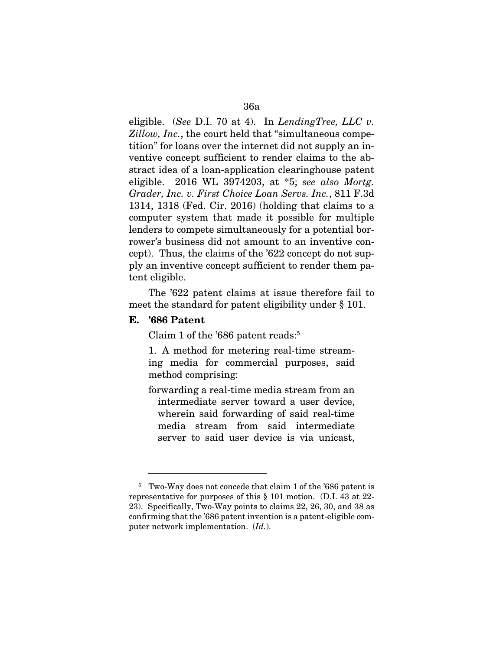eligible. (*See* D.I. 70 at 4). In *LendingTree, LLC v. Zillow, Inc.*, the court held that "simultaneous competition" for loans over the internet did not supply an inventive concept sufficient to render claims to the abstract idea of a loan-application clearinghouse patent eligible. 2016 WL 3974203, at \*5; *see also Mortg. Grader, Inc. v. First Choice Loan Servs. Inc.*, 811 F.3d 1314, 1318 (Fed. Cir. 2016) (holding that claims to a computer system that made it possible for multiple lenders to compete simultaneously for a potential borrower's business did not amount to an inventive concept). Thus, the claims of the '622 concept do not supply an inventive concept sufficient to render them patent eligible.

The '622 patent claims at issue therefore fail to meet the standard for patent eligibility under § 101.

### E. '686 Patent

 $\overline{a}$ 

Claim 1 of the '686 patent reads:<sup>5</sup>

1. A method for metering real-time streaming media for commercial purposes, said method comprising:

forwarding a real-time media stream from an intermediate server toward a user device, wherein said forwarding of said real-time media stream from said intermediate server to said user device is via unicast,

<sup>&</sup>lt;sup>5</sup> Two-Way does not concede that claim 1 of the '686 patent is representative for purposes of this § 101 motion. (D.I. 43 at 22- 23). Specifically, Two-Way points to claims 22, 26, 30, and 38 as confirming that the '686 patent invention is a patent-eligible computer network implementation. (*Id.*).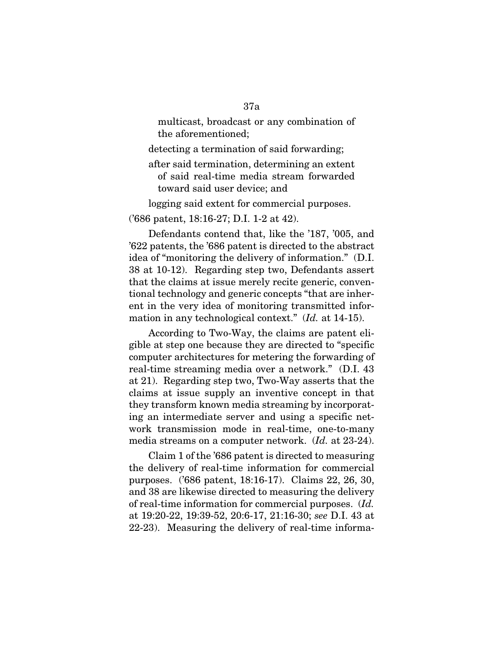multicast, broadcast or any combination of the aforementioned;

detecting a termination of said forwarding;

after said termination, determining an extent of said real-time media stream forwarded toward said user device; and

logging said extent for commercial purposes.

('686 patent, 18:16-27; D.I. 1-2 at 42).

Defendants contend that, like the '187, '005, and '622 patents, the '686 patent is directed to the abstract idea of "monitoring the delivery of information." (D.I. 38 at 10-12). Regarding step two, Defendants assert that the claims at issue merely recite generic, conventional technology and generic concepts "that are inherent in the very idea of monitoring transmitted information in any technological context." (*Id.* at 14-15).

According to Two-Way, the claims are patent eligible at step one because they are directed to "specific computer architectures for metering the forwarding of real-time streaming media over a network." (D.I. 43 at 21). Regarding step two, Two-Way asserts that the claims at issue supply an inventive concept in that they transform known media streaming by incorporating an intermediate server and using a specific network transmission mode in real-time, one-to-many media streams on a computer network. (*Id.* at 23-24).

Claim 1 of the '686 patent is directed to measuring the delivery of real-time information for commercial purposes. ('686 patent, 18:16-17). Claims 22, 26, 30, and 38 are likewise directed to measuring the delivery of real-time information for commercial purposes. (*Id.*  at 19:20-22, 19:39-52, 20:6-17, 21:16-30; *see* D.I. 43 at 22-23). Measuring the delivery of real-time informa-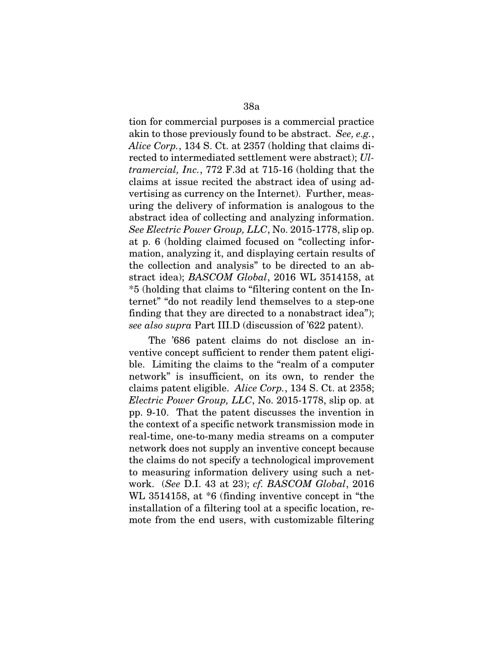tion for commercial purposes is a commercial practice akin to those previously found to be abstract. *See, e.g.*, *Alice Corp.*, 134 S. Ct. at 2357 (holding that claims directed to intermediated settlement were abstract); *Ultramercial, Inc.*, 772 F.3d at 715-16 (holding that the claims at issue recited the abstract idea of using advertising as currency on the Internet). Further, measuring the delivery of information is analogous to the abstract idea of collecting and analyzing information. *See Electric Power Group, LLC*, No. 2015-1778, slip op. at p. 6 (holding claimed focused on "collecting information, analyzing it, and displaying certain results of the collection and analysis" to be directed to an abstract idea); *BASCOM Global*, 2016 WL 3514158, at \*5 (holding that claims to "filtering content on the Internet" "do not readily lend themselves to a step-one finding that they are directed to a nonabstract idea"); *see also supra* Part III.D (discussion of '622 patent).

The '686 patent claims do not disclose an inventive concept sufficient to render them patent eligible. Limiting the claims to the "realm of a computer network" is insufficient, on its own, to render the claims patent eligible. *Alice Corp.*, 134 S. Ct. at 2358; *Electric Power Group, LLC*, No. 2015-1778, slip op. at pp. 9-10. That the patent discusses the invention in the context of a specific network transmission mode in real-time, one-to-many media streams on a computer network does not supply an inventive concept because the claims do not specify a technological improvement to measuring information delivery using such a network. (*See* D.I. 43 at 23); *cf. BASCOM Global*, 2016 WL 3514158, at \*6 (finding inventive concept in "the installation of a filtering tool at a specific location, remote from the end users, with customizable filtering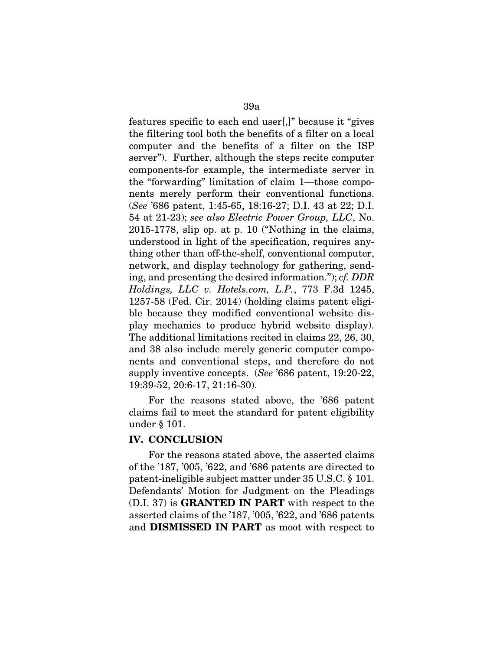features specific to each end user[,]" because it "gives the filtering tool both the benefits of a filter on a local computer and the benefits of a filter on the ISP server"). Further, although the steps recite computer components-for example, the intermediate server in the "forwarding" limitation of claim 1—those components merely perform their conventional functions. (*See* '686 patent, 1:45-65, 18:16-27; D.I. 43 at 22; D.I. 54 at 21-23); *see also Electric Power Group, LLC*, No. 2015-1778, slip op. at p. 10 ("Nothing in the claims, understood in light of the specification, requires anything other than off-the-shelf, conventional computer, network, and display technology for gathering, sending, and presenting the desired information."); *cf. DDR Holdings, LLC v. Hotels.com, L.P.*, 773 F.3d 1245, 1257-58 (Fed. Cir. 2014) (holding claims patent eligible because they modified conventional website display mechanics to produce hybrid website display). The additional limitations recited in claims 22, 26, 30, and 38 also include merely generic computer components and conventional steps, and therefore do not supply inventive concepts. (*See* '686 patent, 19:20-22, 19:39-52, 20:6-17, 21:16-30).

For the reasons stated above, the '686 patent claims fail to meet the standard for patent eligibility under § 101.

### IV. CONCLUSION

For the reasons stated above, the asserted claims of the '187, '005, '622, and '686 patents are directed to patent-ineligible subject matter under 35 U.S.C. § 101. Defendants' Motion for Judgment on the Pleadings (D.I. 37) is GRANTED IN PART with respect to the asserted claims of the '187, '005, '622, and '686 patents and DISMISSED IN PART as moot with respect to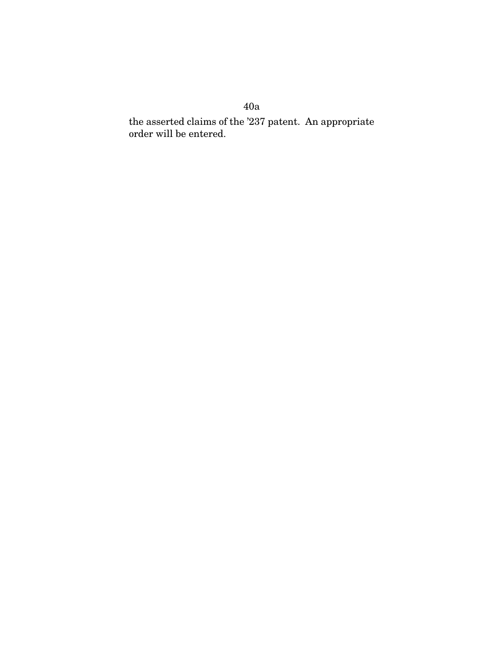the asserted claims of the '237 patent. An appropriate order will be entered.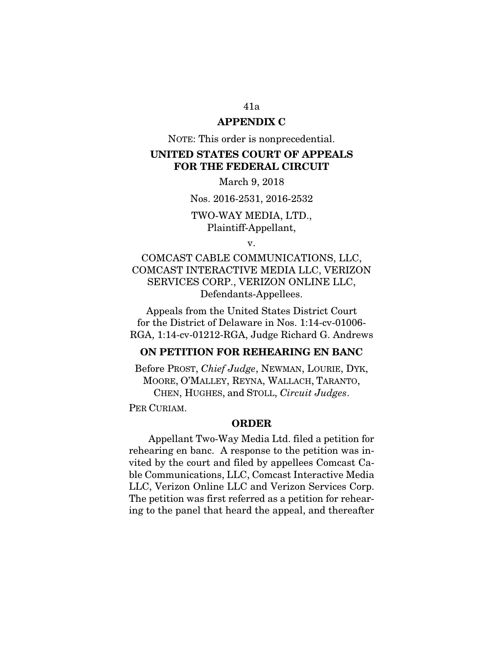# APPENDIX C

NOTE: This order is nonprecedential.

# UNITED STATES COURT OF APPEALS FOR THE FEDERAL CIRCUIT

March 9, 2018

Nos. 2016-2531, 2016-2532

# TWO-WAY MEDIA, LTD., Plaintiff-Appellant,

v.

COMCAST CABLE COMMUNICATIONS, LLC, COMCAST INTERACTIVE MEDIA LLC, VERIZON SERVICES CORP., VERIZON ONLINE LLC, Defendants-Appellees.

Appeals from the United States District Court for the District of Delaware in Nos. 1:14-cv-01006- RGA, 1:14-cv-01212-RGA, Judge Richard G. Andrews

# ON PETITION FOR REHEARING EN BANC

Before PROST, *Chief Judge*, NEWMAN, LOURIE, DYK, MOORE, O'MALLEY, REYNA, WALLACH, TARANTO, CHEN, HUGHES, and STOLL, *Circuit Judges*.

PER CURIAM.

### ORDER

Appellant Two-Way Media Ltd. filed a petition for rehearing en banc. A response to the petition was invited by the court and filed by appellees Comcast Cable Communications, LLC, Comcast Interactive Media LLC, Verizon Online LLC and Verizon Services Corp. The petition was first referred as a petition for rehearing to the panel that heard the appeal, and thereafter